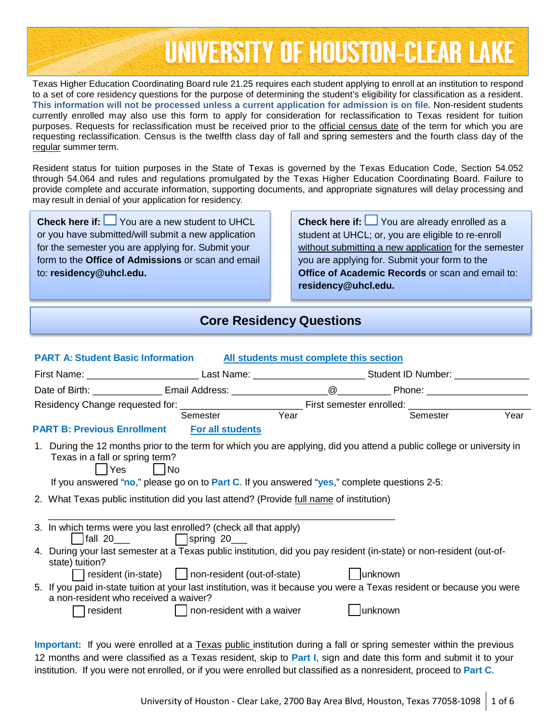# **UNIVERSITY OF HOUSTON-CLEAR LAKE**

Texas Higher Education Coordinating Board rule 21.25 requires each student applying to enroll at an institution to respond to a set of core residency questions for the purpose of determining the student's eligibility for classification as a resident. **This information will not be processed unless a current application for admission is on file.** Non-resident students currently enrolled may also use this form to apply for consideration for reclassification to Texas resident for tuition purposes. Requests for reclassification must be received prior to the official census date of the term for which you are requesting reclassification. Census is the twelfth class day of fall and spring semesters and the fourth class day of the regular summer term.

Resident status for tuition purposes in the State of Texas is governed by the Texas Education Code, Section 54.052 through 54.064 and rules and regulations promulgated by the Texas Higher Education Coordinating Board. Failure to provide complete and accurate information, supporting documents, and appropriate signatures will delay processing and may result in denial of your application for residency.

**Check here if:** You are a new student to UHCL or you have submitted/will submit a new application for the semester you are applying for. Submit your form to the **Office of Admissions** or scan and email to: **residency@uhcl.edu.**

**Check here if:** You are already enrolled as a student at UHCL; or, you are eligible to re-enroll without submitting a new application for the semester you are applying for. Submit your form to the **Office of Academic Records** or scan and email to: **residency@uhcl.edu.**

## **Core Residency Questions**

| <b>PART A: Student Basic Information</b><br>All students must complete this section                                                                                         |                                                                                              |  |         |          |      |  |
|-----------------------------------------------------------------------------------------------------------------------------------------------------------------------------|----------------------------------------------------------------------------------------------|--|---------|----------|------|--|
| First Name: __________________________________Last Name: ______________________________Student ID Number: ___________________                                               |                                                                                              |  |         |          |      |  |
|                                                                                                                                                                             |                                                                                              |  |         |          |      |  |
|                                                                                                                                                                             |                                                                                              |  |         |          |      |  |
|                                                                                                                                                                             | Semester Year                                                                                |  |         | Semester | Year |  |
| <b>PART B: Previous Enrollment</b>                                                                                                                                          | <b>For all students</b>                                                                      |  |         |          |      |  |
| 1. During the 12 months prior to the term for which you are applying, did you attend a public college or university in<br>Texas in a fall or spring term?<br>Yes No         | If you answered "no," please go on to Part C. If you answered "yes," complete questions 2-5: |  |         |          |      |  |
| 2. What Texas public institution did you last attend? (Provide full name of institution)                                                                                    |                                                                                              |  |         |          |      |  |
| 3. In which terms were you last enrolled? (check all that apply)                                                                                                            |                                                                                              |  |         |          |      |  |
| 4. During your last semester at a Texas public institution, did you pay resident (in-state) or non-resident (out-of-<br>state) tuition?                                     |                                                                                              |  |         |          |      |  |
| 5. If you paid in-state tuition at your last institution, was it because you were a Texas resident or because you were<br>a non-resident who received a waiver?<br>resident | $\vert$ non-resident with a waiver                                                           |  | unknown |          |      |  |

**Important:** If you were enrolled at a Texas public institution during a fall or spring semester within the previous 12 months and were classified as a Texas resident, skip to **Part I**, sign and date this form and submit it to your institution. If you were not enrolled, or if you were enrolled but classified as a nonresident, proceed to **Part C**.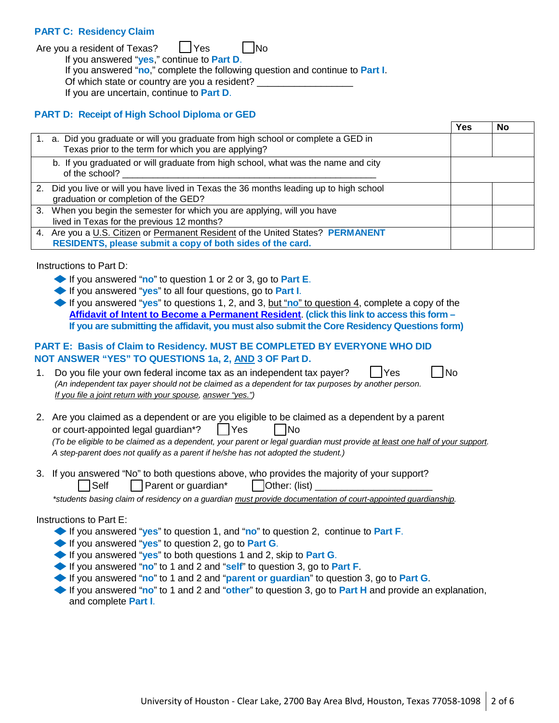#### **PART C: Residency Claim**

Are you a resident of Texas?  $\vert \vert$  Yes  $\vert \vert$  No

If you answered "**yes**," continue to **Part D**.

If you answered "**no**," complete the following question and continue to **Part I**.

Of which state or country are you a resident?

If you are uncertain, continue to **Part D**.

#### **PART D: Receipt of High School Diploma or GED**

|                                                                                                                                               | Yes | No |
|-----------------------------------------------------------------------------------------------------------------------------------------------|-----|----|
| 1. a. Did you graduate or will you graduate from high school or complete a GED in<br>Texas prior to the term for which you are applying?      |     |    |
| b. If you graduated or will graduate from high school, what was the name and city<br>of the school?                                           |     |    |
| 2. Did you live or will you have lived in Texas the 36 months leading up to high school<br>graduation or completion of the GED?               |     |    |
| 3. When you begin the semester for which you are applying, will you have<br>lived in Texas for the previous 12 months?                        |     |    |
| 4. Are you a U.S. Citizen or Permanent Resident of the United States? PERMANENT<br>RESIDENTS, please submit a copy of both sides of the card. |     |    |

Instructions to Part D:

- ◆If you answered "**no**" to question <sup>1</sup> or <sup>2</sup> or 3, go to **Part <sup>E</sup>**.
- ◆If you answered "**yes**" to all four questions, go to **Part <sup>I</sup>**.
- ◆If you answered "**yes**" to questions 1, 2, and 3, but "**no**" to question 4, complete <sup>a</sup> copy of the **Affidavit of Intent to Become a Permanent Resident**. **(click this link to access this form – If you are submitting the affidavit, you must also submit the Core Residency Questions form)**

## **PART E: Basis of Claim to Residency. MUST BE COMPLETED BY EVERYONE WHO DID NOT ANSWER "YES" TO QUESTIONS 1a, 2, AND 3 OF Part D.**

1. Do you file your own federal income tax as an independent tax payer?  $\vert$  | Yes | | No *(An independent tax payer should not be claimed as a dependent for tax purposes by another person. If you file a joint return with your spouse, answer "yes.")*

2. Are you claimed as a dependent or are you eligible to be claimed as a dependent by a parent or court-appointed legal guardian<sup>\*</sup>?  $|$   $|$  Yes  $|$   $|$  No (To be eligible to be claimed as a dependent, your parent or legal guardian must provide at least one half of your support. *A step-parent does not qualify as a parent if he/she has not adopted the student.)*

3. If you answered "No" to both questions above, who provides the majority of your support?  $\mathsf{Self}$  | Parent or quardian<sup>\*</sup> |  $\mathsf{Other:}$  (list)

*\*students basing claim of residency on a guardian must provide documentation of court-appointed guardianship.*

#### Instructions to Part E:

- ◆If you answered "**yes**" to question 1, and "**no**" to question 2, continue to **Part <sup>F</sup>**.
- ◆If you answered "**yes**" to question 2, go to **Part <sup>G</sup>**.
- ◆ If you answered "yes" to both questions 1 and 2, skip to Part **G**.
- ◆If you answered "**no**" to <sup>1</sup> and <sup>2</sup> and "**self**" to question 3, go to **Part <sup>F</sup>**.
- ◆If you answered "**no**" to <sup>1</sup> and <sup>2</sup> and "**parent or guardian**" to question 3, go to **Part <sup>G</sup>**.
- ◆If you answered "**no**" to <sup>1</sup> and <sup>2</sup> and "**other**" to question 3, go to **Part <sup>H</sup>** and provide an explanation, and complete **Part I**.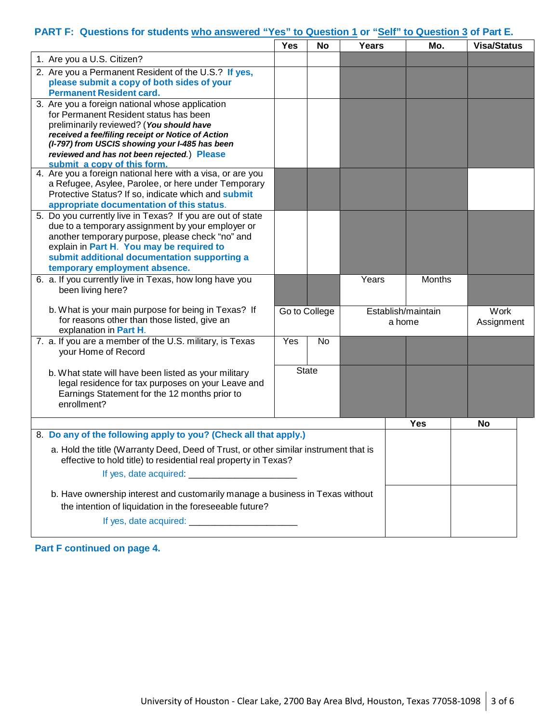## **PART F: Questions for students who answered "Yes" to Question 1 or "Self" to Question 3 of Part E.**

|                                                                                                                 | <b>Yes</b> | No            | Years |                    | Mo.    | <b>Visa/Status</b> |  |
|-----------------------------------------------------------------------------------------------------------------|------------|---------------|-------|--------------------|--------|--------------------|--|
| 1. Are you a U.S. Citizen?                                                                                      |            |               |       |                    |        |                    |  |
| 2. Are you a Permanent Resident of the U.S.? If yes,                                                            |            |               |       |                    |        |                    |  |
| please submit a copy of both sides of your                                                                      |            |               |       |                    |        |                    |  |
| <b>Permanent Resident card.</b>                                                                                 |            |               |       |                    |        |                    |  |
| 3. Are you a foreign national whose application<br>for Permanent Resident status has been                       |            |               |       |                    |        |                    |  |
| preliminarily reviewed? (You should have                                                                        |            |               |       |                    |        |                    |  |
| received a fee/filing receipt or Notice of Action                                                               |            |               |       |                    |        |                    |  |
| (I-797) from USCIS showing your I-485 has been                                                                  |            |               |       |                    |        |                    |  |
| reviewed and has not been rejected.) Please<br>submit a copy of this form.                                      |            |               |       |                    |        |                    |  |
| 4. Are you a foreign national here with a visa, or are you                                                      |            |               |       |                    |        |                    |  |
| a Refugee, Asylee, Parolee, or here under Temporary                                                             |            |               |       |                    |        |                    |  |
| Protective Status? If so, indicate which and submit                                                             |            |               |       |                    |        |                    |  |
| appropriate documentation of this status.                                                                       |            |               |       |                    |        |                    |  |
| 5. Do you currently live in Texas? If you are out of state<br>due to a temporary assignment by your employer or |            |               |       |                    |        |                    |  |
| another temporary purpose, please check "no" and                                                                |            |               |       |                    |        |                    |  |
| explain in Part H. You may be required to                                                                       |            |               |       |                    |        |                    |  |
| submit additional documentation supporting a                                                                    |            |               |       |                    |        |                    |  |
| temporary employment absence.                                                                                   |            |               |       |                    |        |                    |  |
| 6. a. If you currently live in Texas, how long have you                                                         |            |               | Years |                    | Months |                    |  |
| been living here?                                                                                               |            |               |       |                    |        |                    |  |
| b. What is your main purpose for being in Texas? If                                                             |            | Go to College |       | Establish/maintain |        | Work               |  |
| for reasons other than those listed, give an                                                                    |            |               |       | a home             |        | Assignment         |  |
| explanation in Part H.                                                                                          |            |               |       |                    |        |                    |  |
| 7. a. If you are a member of the U.S. military, is Texas<br>your Home of Record                                 | Yes        | <b>No</b>     |       |                    |        |                    |  |
|                                                                                                                 |            |               |       |                    |        |                    |  |
| b. What state will have been listed as your military                                                            |            | <b>State</b>  |       |                    |        |                    |  |
| legal residence for tax purposes on your Leave and                                                              |            |               |       |                    |        |                    |  |
| Earnings Statement for the 12 months prior to                                                                   |            |               |       |                    |        |                    |  |
| enrollment?                                                                                                     |            |               |       |                    |        |                    |  |
|                                                                                                                 |            |               |       | <b>Yes</b>         |        | <b>No</b>          |  |
| 8. Do any of the following apply to you? (Check all that apply.)                                                |            |               |       |                    |        |                    |  |
| a. Hold the title (Warranty Deed, Deed of Trust, or other similar instrument that is                            |            |               |       |                    |        |                    |  |
| effective to hold title) to residential real property in Texas?                                                 |            |               |       |                    |        |                    |  |
|                                                                                                                 |            |               |       |                    |        |                    |  |
| b. Have ownership interest and customarily manage a business in Texas without                                   |            |               |       |                    |        |                    |  |
| the intention of liquidation in the foreseeable future?                                                         |            |               |       |                    |        |                    |  |
|                                                                                                                 |            |               |       |                    |        |                    |  |
|                                                                                                                 |            |               |       |                    |        |                    |  |

**Part F continued on page 4.**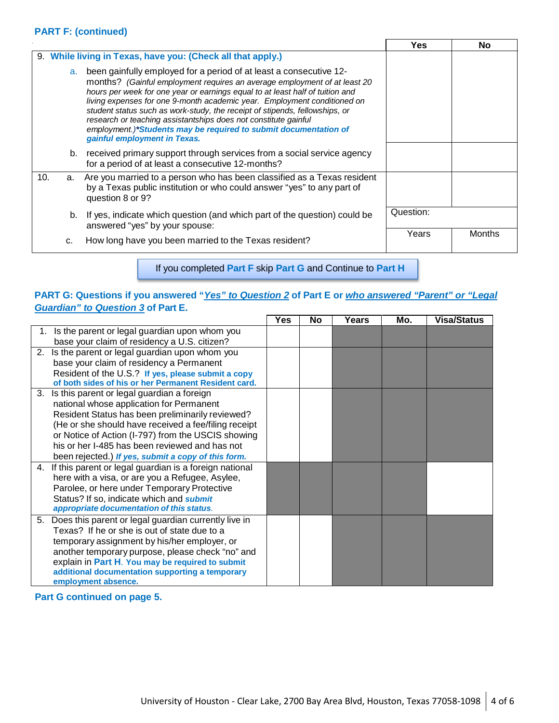#### **PART F: (continued)**

|     |                                                                                                                                                                                                                                                                                                                                                                                                                                                                                                                                                                          |                                                                                                                                                                       | Yes.      | No.    |
|-----|--------------------------------------------------------------------------------------------------------------------------------------------------------------------------------------------------------------------------------------------------------------------------------------------------------------------------------------------------------------------------------------------------------------------------------------------------------------------------------------------------------------------------------------------------------------------------|-----------------------------------------------------------------------------------------------------------------------------------------------------------------------|-----------|--------|
|     |                                                                                                                                                                                                                                                                                                                                                                                                                                                                                                                                                                          | 9. While living in Texas, have you: (Check all that apply.)                                                                                                           |           |        |
|     | been gainfully employed for a period of at least a consecutive 12-<br>a.<br>months? (Gainful employment requires an average employment of at least 20<br>hours per week for one year or earnings equal to at least half of tuition and<br>living expenses for one 9-month academic year. Employment conditioned on<br>student status such as work-study, the receipt of stipends, fellowships, or<br>research or teaching assistantships does not constitute gainful<br>employment.)*Students may be required to submit documentation of<br>gainful employment in Texas. |                                                                                                                                                                       |           |        |
|     | b.                                                                                                                                                                                                                                                                                                                                                                                                                                                                                                                                                                       | received primary support through services from a social service agency<br>for a period of at least a consecutive 12-months?                                           |           |        |
| 10. | a.                                                                                                                                                                                                                                                                                                                                                                                                                                                                                                                                                                       | Are you married to a person who has been classified as a Texas resident<br>by a Texas public institution or who could answer "yes" to any part of<br>question 8 or 9? |           |        |
|     | b.                                                                                                                                                                                                                                                                                                                                                                                                                                                                                                                                                                       | If yes, indicate which question (and which part of the question) could be<br>answered "yes" by your spouse:                                                           | Question: |        |
|     | c.                                                                                                                                                                                                                                                                                                                                                                                                                                                                                                                                                                       | How long have you been married to the Texas resident?                                                                                                                 | Years     | Months |

If you completed **Part F** skip **Part G** and Continue to **Part H**

### **PART G: Questions if you answered "***Yes" to Question 2* **of Part E or** *who answered "Parent" or "Legal Guardian" to Question 3* **of Part E.**

|    |                                                           | <b>Yes</b> | <b>No</b> | Years | Mo. | <b>Visa/Status</b> |
|----|-----------------------------------------------------------|------------|-----------|-------|-----|--------------------|
| 1. | Is the parent or legal guardian upon whom you             |            |           |       |     |                    |
|    | base your claim of residency a U.S. citizen?              |            |           |       |     |                    |
|    | 2. Is the parent or legal guardian upon whom you          |            |           |       |     |                    |
|    | base your claim of residency a Permanent                  |            |           |       |     |                    |
|    | Resident of the U.S.? If yes, please submit a copy        |            |           |       |     |                    |
|    | of both sides of his or her Permanent Resident card.      |            |           |       |     |                    |
|    | 3. Is this parent or legal guardian a foreign             |            |           |       |     |                    |
|    | national whose application for Permanent                  |            |           |       |     |                    |
|    | Resident Status has been preliminarily reviewed?          |            |           |       |     |                    |
|    | (He or she should have received a fee/filing receipt      |            |           |       |     |                    |
|    | or Notice of Action (I-797) from the USCIS showing        |            |           |       |     |                    |
|    | his or her I-485 has been reviewed and has not            |            |           |       |     |                    |
|    | been rejected.) If yes, submit a copy of this form.       |            |           |       |     |                    |
|    | 4. If this parent or legal guardian is a foreign national |            |           |       |     |                    |
|    | here with a visa, or are you a Refugee, Asylee,           |            |           |       |     |                    |
|    | Parolee, or here under Temporary Protective               |            |           |       |     |                    |
|    | Status? If so, indicate which and submit                  |            |           |       |     |                    |
|    | appropriate documentation of this status.                 |            |           |       |     |                    |
|    | 5. Does this parent or legal guardian currently live in   |            |           |       |     |                    |
|    | Texas? If he or she is out of state due to a              |            |           |       |     |                    |
|    | temporary assignment by his/her employer, or              |            |           |       |     |                    |
|    | another temporary purpose, please check "no" and          |            |           |       |     |                    |
|    | explain in Part H. You may be required to submit          |            |           |       |     |                    |
|    | additional documentation supporting a temporary           |            |           |       |     |                    |
|    | employment absence.                                       |            |           |       |     |                    |

**Part G continued on page 5.**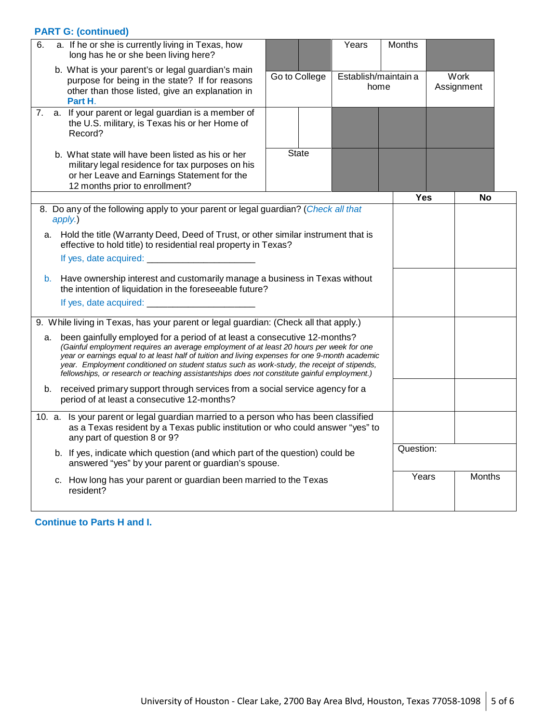## **PART G: (continued)**

| 6. | a. If he or she is currently living in Texas, how<br>long has he or she been living here?                                                                                                                                                                                                                                                                                                                                                                                     |  |               | Years | Months                       |                    |               |
|----|-------------------------------------------------------------------------------------------------------------------------------------------------------------------------------------------------------------------------------------------------------------------------------------------------------------------------------------------------------------------------------------------------------------------------------------------------------------------------------|--|---------------|-------|------------------------------|--------------------|---------------|
|    | b. What is your parent's or legal guardian's main<br>purpose for being in the state? If for reasons<br>other than those listed, give an explanation in<br>Part H.                                                                                                                                                                                                                                                                                                             |  | Go to College |       | Establish/maintain a<br>home | Work<br>Assignment |               |
| 7. | a. If your parent or legal guardian is a member of<br>the U.S. military, is Texas his or her Home of<br>Record?                                                                                                                                                                                                                                                                                                                                                               |  |               |       |                              |                    |               |
|    | b. What state will have been listed as his or her<br>military legal residence for tax purposes on his<br>or her Leave and Earnings Statement for the<br>12 months prior to enrollment?                                                                                                                                                                                                                                                                                        |  | <b>State</b>  |       |                              |                    |               |
|    |                                                                                                                                                                                                                                                                                                                                                                                                                                                                               |  |               |       | Yes                          |                    | No            |
|    | 8. Do any of the following apply to your parent or legal guardian? (Check all that<br>apply.)                                                                                                                                                                                                                                                                                                                                                                                 |  |               |       |                              |                    |               |
| а. | Hold the title (Warranty Deed, Deed of Trust, or other similar instrument that is<br>effective to hold title) to residential real property in Texas?                                                                                                                                                                                                                                                                                                                          |  |               |       |                              |                    |               |
|    | If yes, date acquired: _______________                                                                                                                                                                                                                                                                                                                                                                                                                                        |  |               |       |                              |                    |               |
|    | Have ownership interest and customarily manage a business in Texas without<br>b.<br>the intention of liquidation in the foreseeable future?                                                                                                                                                                                                                                                                                                                                   |  |               |       |                              |                    |               |
|    |                                                                                                                                                                                                                                                                                                                                                                                                                                                                               |  |               |       |                              |                    |               |
|    | 9. While living in Texas, has your parent or legal guardian: (Check all that apply.)                                                                                                                                                                                                                                                                                                                                                                                          |  |               |       |                              |                    |               |
|    | been gainfully employed for a period of at least a consecutive 12-months?<br>а.<br>(Gainful employment requires an average employment of at least 20 hours per week for one<br>year or earnings equal to at least half of tuition and living expenses for one 9-month academic<br>year. Employment conditioned on student status such as work-study, the receipt of stipends,<br>fellowships, or research or teaching assistantships does not constitute gainful employment.) |  |               |       |                              |                    |               |
|    | received primary support through services from a social service agency for a<br>b.<br>period of at least a consecutive 12-months?                                                                                                                                                                                                                                                                                                                                             |  |               |       |                              |                    |               |
|    | 10. a. Is your parent or legal guardian married to a person who has been classified<br>as a Texas resident by a Texas public institution or who could answer "yes" to<br>any part of question 8 or 9?                                                                                                                                                                                                                                                                         |  |               |       |                              |                    |               |
|    | b. If yes, indicate which question (and which part of the question) could be<br>answered "yes" by your parent or guardian's spouse.                                                                                                                                                                                                                                                                                                                                           |  |               |       |                              | Question:          |               |
|    | c. How long has your parent or guardian been married to the Texas<br>resident?                                                                                                                                                                                                                                                                                                                                                                                                |  |               |       | Years                        |                    | <b>Months</b> |
|    |                                                                                                                                                                                                                                                                                                                                                                                                                                                                               |  |               |       |                              |                    |               |

## **Continue to Parts H and I.**